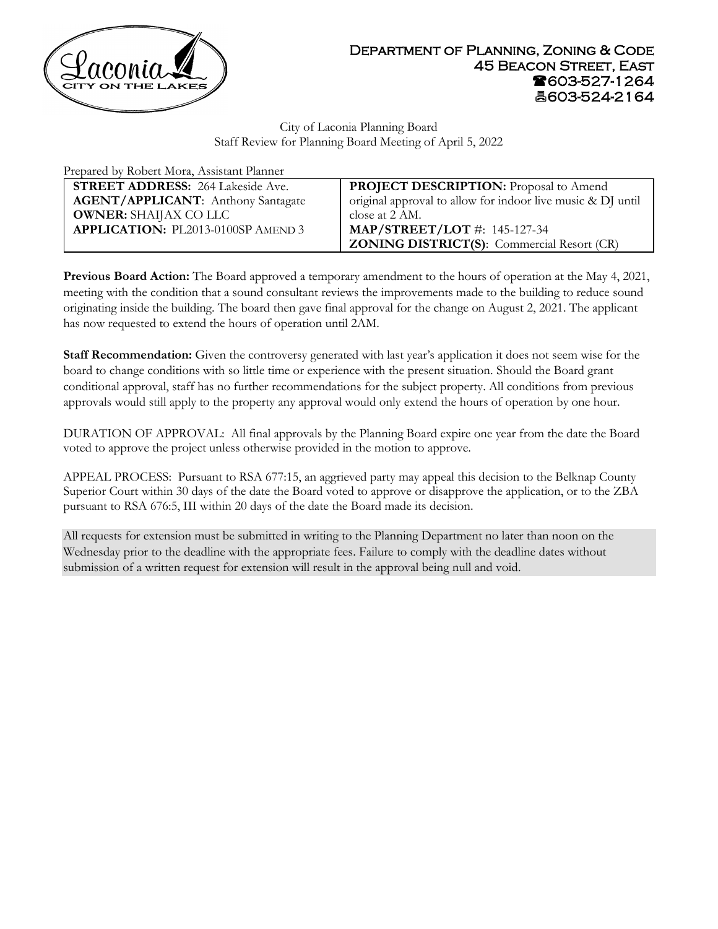

City of Laconia Planning Board Staff Review for Planning Board Meeting of April 5, 2022

| Prepared by Robert Mora, Assistant Planner |                                                             |
|--------------------------------------------|-------------------------------------------------------------|
| <b>STREET ADDRESS:</b> 264 Lakeside Ave.   | <b>PROJECT DESCRIPTION:</b> Proposal to Amend               |
| <b>AGENT/APPLICANT:</b> Anthony Santagate  | original approval to allow for indoor live music & DJ until |
| <b>OWNER:</b> SHAIJAX CO LLC               | close at 2 AM.                                              |
| <b>APPLICATION: PL2013-0100SP AMEND 3</b>  | <b>MAP/STREET/LOT</b> #: 145-127-34                         |
|                                            | <b>ZONING DISTRICT(S):</b> Commercial Resort (CR)           |

**Previous Board Action:** The Board approved a temporary amendment to the hours of operation at the May 4, 2021, meeting with the condition that a sound consultant reviews the improvements made to the building to reduce sound originating inside the building. The board then gave final approval for the change on August 2, 2021. The applicant has now requested to extend the hours of operation until 2AM.

**Staff Recommendation:** Given the controversy generated with last year's application it does not seem wise for the board to change conditions with so little time or experience with the present situation. Should the Board grant conditional approval, staff has no further recommendations for the subject property. All conditions from previous approvals would still apply to the property any approval would only extend the hours of operation by one hour.

DURATION OF APPROVAL: All final approvals by the Planning Board expire one year from the date the Board voted to approve the project unless otherwise provided in the motion to approve.

APPEAL PROCESS: Pursuant to RSA 677:15, an aggrieved party may appeal this decision to the Belknap County Superior Court within 30 days of the date the Board voted to approve or disapprove the application, or to the ZBA pursuant to RSA 676:5, III within 20 days of the date the Board made its decision.

All requests for extension must be submitted in writing to the Planning Department no later than noon on the Wednesday prior to the deadline with the appropriate fees. Failure to comply with the deadline dates without submission of a written request for extension will result in the approval being null and void.